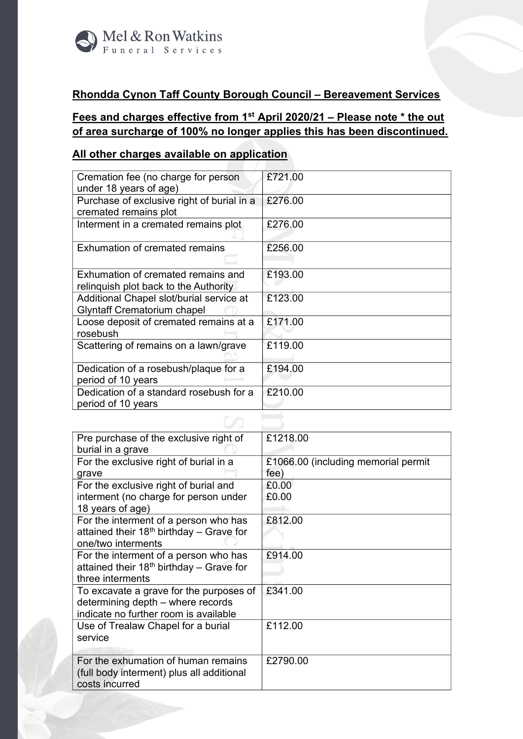

## **Rhondda Cynon Taff County Borough Council – Bereavement Services**

## **Fees and charges effective from 1 st April 2020/21 – Please note \* the out of area surcharge of 100% no longer applies this has been discontinued.**

## **All other charges available on application**

| Cremation fee (no charge for person        | £721.00 |
|--------------------------------------------|---------|
| under 18 years of age)                     |         |
| Purchase of exclusive right of burial in a | £276.00 |
| cremated remains plot                      |         |
| Interment in a cremated remains plot       | £276.00 |
|                                            |         |
| Exhumation of cremated remains             | £256.00 |
|                                            |         |
| Exhumation of cremated remains and         | £193.00 |
| relinguish plot back to the Authority      |         |
| Additional Chapel slot/burial service at   | £123.00 |
| <b>Glyntaff Crematorium chapel</b>         |         |
| Loose deposit of cremated remains at a     | £171.00 |
| rosebush                                   |         |
| Scattering of remains on a lawn/grave      | £119.00 |
|                                            |         |
| Dedication of a rosebush/plaque for a      | £194.00 |
| period of 10 years                         |         |
| Dedication of a standard rosebush for a    | £210.00 |
| period of 10 years                         |         |
|                                            |         |

| Pre purchase of the exclusive right of     | £1218.00                            |
|--------------------------------------------|-------------------------------------|
| burial in a grave                          |                                     |
| For the exclusive right of burial in a     | £1066.00 (including memorial permit |
| grave                                      | fee)                                |
| For the exclusive right of burial and      | £0.00                               |
| interment (no charge for person under      | £0.00                               |
| 18 years of age)                           |                                     |
| For the interment of a person who has      | £812.00                             |
| attained their $18th$ birthday – Grave for |                                     |
| one/two interments                         |                                     |
| For the interment of a person who has      | £914.00                             |
| attained their $18th$ birthday – Grave for |                                     |
| three interments                           |                                     |
| To excavate a grave for the purposes of    | £341.00                             |
| determining depth – where records          |                                     |
| indicate no further room is available      |                                     |
| Use of Trealaw Chapel for a burial         | £112.00                             |
| service                                    |                                     |
|                                            |                                     |
| For the exhumation of human remains        | £2790.00                            |
| (full body interment) plus all additional  |                                     |
| costs incurred                             |                                     |